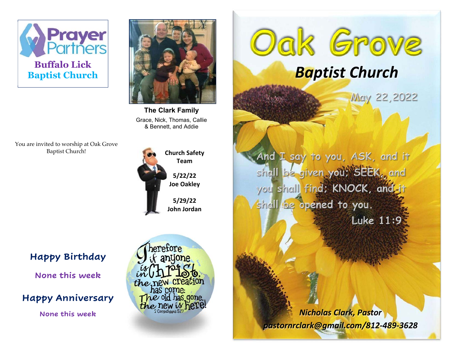



The Clark Family Grace, Nick, Thomas, Callie & Bennett, and Addie

You are invited to worship at Oak Grove Baptist Church!



Team 5/22/22 Joe Oakley

5/29/22 John Jordan Oak Grove Baptist Church

May 22,2022

And I say to you, ASK, and it shall be given you: SEEK, and you shall find; KNOCK, and it shall be opened to you. Luke 11:9

j

Happy Birthday

None this week

## Happy Anniversary

herefore anyone the new creation has come. The old has gone. None this week  $\frac{h}{\text{the new } \text{log} \text{ here}}$  Nicholas Clark, Pastor

pastornrclark@gmail.com/812-489-3628